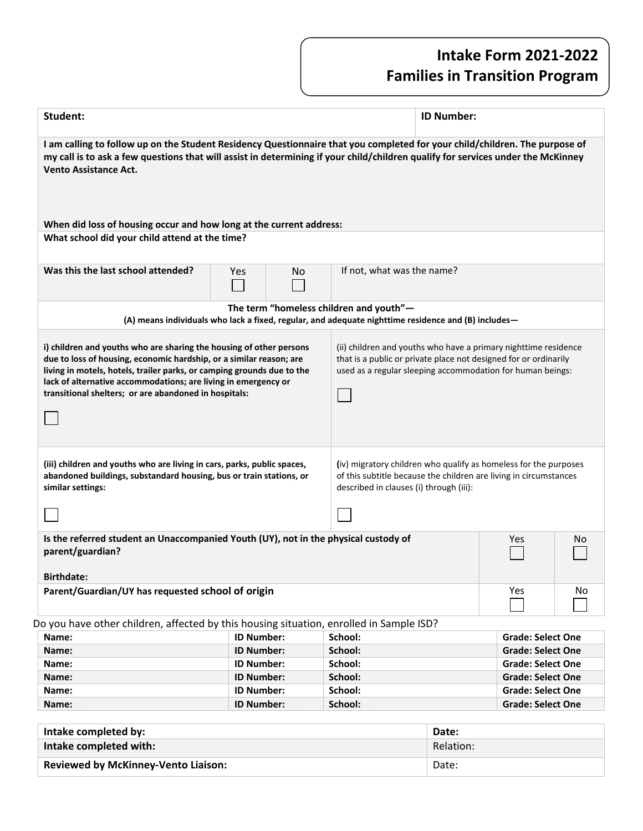## **Intake Form 2021-2022 Families in Transition Program**

| Student:                                                                                                                                                                                                                                                                                                                                        |                   |    |                                                                                                                                                                                                   | <b>ID Number:</b> |                                                      |    |
|-------------------------------------------------------------------------------------------------------------------------------------------------------------------------------------------------------------------------------------------------------------------------------------------------------------------------------------------------|-------------------|----|---------------------------------------------------------------------------------------------------------------------------------------------------------------------------------------------------|-------------------|------------------------------------------------------|----|
| I am calling to follow up on the Student Residency Questionnaire that you completed for your child/children. The purpose of<br>my call is to ask a few questions that will assist in determining if your child/children qualify for services under the McKinney<br><b>Vento Assistance Act.</b>                                                 |                   |    |                                                                                                                                                                                                   |                   |                                                      |    |
| When did loss of housing occur and how long at the current address:<br>What school did your child attend at the time?                                                                                                                                                                                                                           |                   |    |                                                                                                                                                                                                   |                   |                                                      |    |
|                                                                                                                                                                                                                                                                                                                                                 |                   |    |                                                                                                                                                                                                   |                   |                                                      |    |
| Was this the last school attended?                                                                                                                                                                                                                                                                                                              | Yes               | No | If not, what was the name?                                                                                                                                                                        |                   |                                                      |    |
|                                                                                                                                                                                                                                                                                                                                                 |                   |    | The term "homeless children and youth"-<br>(A) means individuals who lack a fixed, regular, and adequate nighttime residence and (B) includes—                                                    |                   |                                                      |    |
| i) children and youths who are sharing the housing of other persons<br>due to loss of housing, economic hardship, or a similar reason; are<br>living in motels, hotels, trailer parks, or camping grounds due to the<br>lack of alternative accommodations; are living in emergency or<br>transitional shelters; or are abandoned in hospitals: |                   |    | (ii) children and youths who have a primary nighttime residence<br>that is a public or private place not designed for or ordinarily<br>used as a regular sleeping accommodation for human beings: |                   |                                                      |    |
| (iii) children and youths who are living in cars, parks, public spaces,<br>abandoned buildings, substandard housing, bus or train stations, or<br>similar settings:                                                                                                                                                                             |                   |    | (iv) migratory children who qualify as homeless for the purposes<br>of this subtitle because the children are living in circumstances<br>described in clauses (i) through (iii):                  |                   |                                                      |    |
|                                                                                                                                                                                                                                                                                                                                                 |                   |    |                                                                                                                                                                                                   |                   |                                                      |    |
| Is the referred student an Unaccompanied Youth (UY), not in the physical custody of<br>parent/guardian?<br><b>Birthdate:</b>                                                                                                                                                                                                                    |                   |    |                                                                                                                                                                                                   |                   | Yes                                                  | No |
| Parent/Guardian/UY has requested school of origin                                                                                                                                                                                                                                                                                               |                   |    |                                                                                                                                                                                                   |                   | Yes                                                  | No |
| Do you have other children, affected by this housing situation, enrolled in Sample ISD?                                                                                                                                                                                                                                                         |                   |    |                                                                                                                                                                                                   |                   |                                                      |    |
| Name:                                                                                                                                                                                                                                                                                                                                           | <b>ID Number:</b> |    | School:                                                                                                                                                                                           |                   | <b>Grade: Select One</b>                             |    |
| Name:                                                                                                                                                                                                                                                                                                                                           | <b>ID Number:</b> |    | School:                                                                                                                                                                                           |                   | <b>Grade: Select One</b>                             |    |
| Name:                                                                                                                                                                                                                                                                                                                                           | <b>ID Number:</b> |    | School:                                                                                                                                                                                           |                   | <b>Grade: Select One</b>                             |    |
| Name:                                                                                                                                                                                                                                                                                                                                           | <b>ID Number:</b> |    | School:                                                                                                                                                                                           |                   | <b>Grade: Select One</b>                             |    |
| Name:                                                                                                                                                                                                                                                                                                                                           | <b>ID Number:</b> |    | School:                                                                                                                                                                                           |                   | <b>Grade: Select One</b><br><b>Grade: Select One</b> |    |
| Name:                                                                                                                                                                                                                                                                                                                                           | <b>ID Number:</b> |    | School:                                                                                                                                                                                           |                   |                                                      |    |

| Intake completed by:                       | Date:     |
|--------------------------------------------|-----------|
| Intake completed with:                     | Relation: |
| <b>Reviewed by McKinney-Vento Liaison:</b> | Date:     |